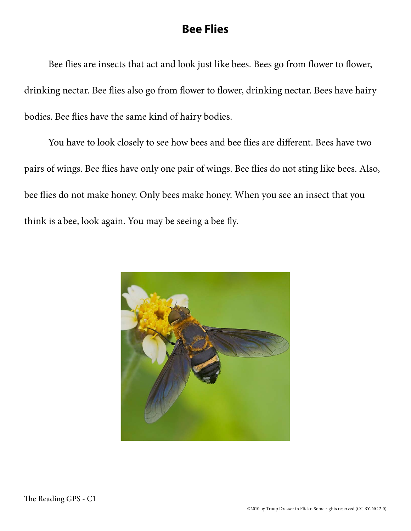## **Bee Flies**

Bee flies are insects that act and look just like bees. Bees go from flower to flower, drinking nectar. Bee flies also go from flower to flower, drinking nectar. Bees have hairy bodies. Bee flies have the same kind of hairy bodies.

You have to look closely to see how bees and bee flies are different. Bees have two pairs of wings. Bee flies have only one pair of wings. Bee flies do not sting like bees. Also, bee flies do not make honey. Only bees make honey. When you see an insect that you think is a bee, look again. You may be seeing a bee fly.